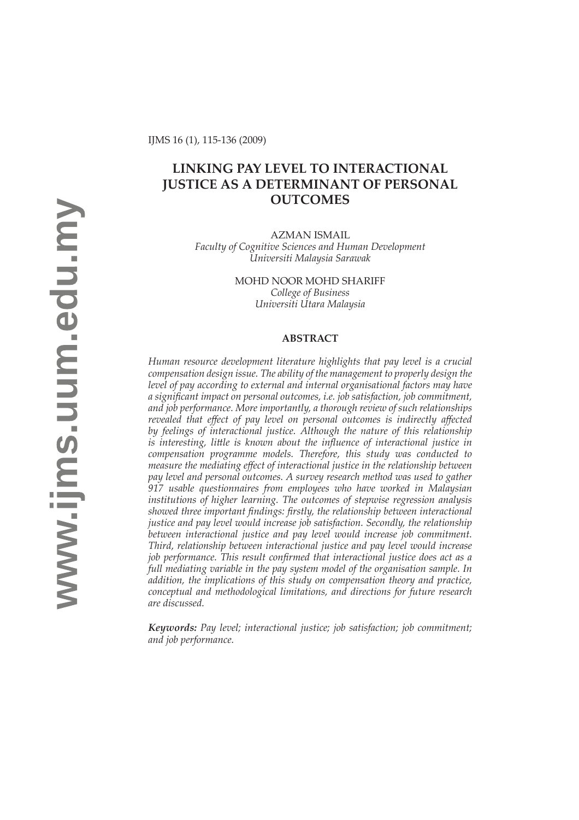# **LINKING PAY LEVEL TO INTERACTIONAL JUSTICE AS A DETERMINANT OF PERSONAL OUTCOMES**

AZMAN ISMAIL *Faculty of Cognitive Sciences and Human Development Universiti Malaysia Sarawak*

> MOHD NOOR MOHD SHARIFF *College of Business Universiti Utara Malaysia*

### **ABSTRACT**

*Human resource development literature highlights that pay level is a crucial compensation design issue. The ability of the management to properly design the level of pay according to external and internal organisational factors may have a signifi cant impact on personal outcomes, i.e. job satisfaction, job commitment, and job performance. More importantly, a thorough review of such relationships revealed that eff ect of pay level on personal outcomes is indirectly aff ected by feelings of interactional justice. Although the nature of this relationship is interesting, little is known about the influence of interactional justice in compensation programme models. Therefore, this study was conducted to measure the mediating eff ect of interactional justice in the relationship between pay level and personal outcomes. A survey research method was used to gather 917 usable questionnaires from employees who have worked in Malaysian institutions of higher learning. The outcomes of stepwise regression analysis*  showed three important findings: firstly, the relationship between interactional *justice and pay level would increase job satisfaction. Secondly, the relationship between interactional justice and pay level would increase job commitment. Third, relationship between interactional justice and pay level would increase job performance. This result confirmed that interactional justice does act as a full mediating variable in the pay system model of the organisation sample. In addition, the implications of this study on compensation theory and practice, conceptual and methodological limitations, and directions for future research are discussed.* 

*Keywords: Pay level; interactional justice; job satisfaction; job commitment; and job performance.*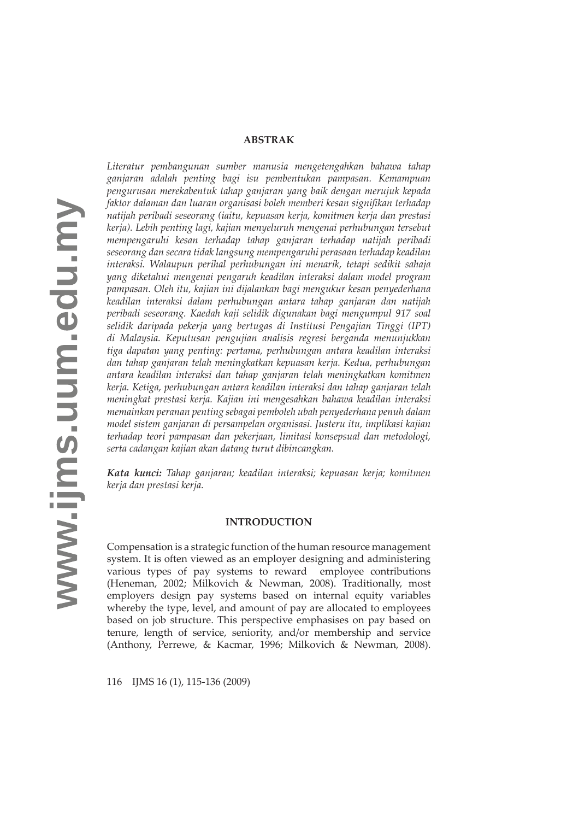#### **ABSTRAK**

*Literatur pembangunan sumber manusia mengetengahkan bahawa tahap ganjaran adalah penting bagi isu pembentukan pampasan. Kemampuan pengurusan merekabentuk tahap ganjaran yang baik dengan merujuk kepada faktor dalaman dan luaran organisasi boleh memberi kesan signifi kan terhadap natij ah peribadi seseorang (iaitu, kepuasan kerja, komitmen kerja dan prestasi kerja). Lebih penting lagi, kajian menyeluruh mengenai perhubungan tersebut mempengaruhi kesan terhadap tahap ganjaran terhadap natij ah peribadi seseorang dan secara tidak langsung mempengaruhi perasaan terhadap keadilan interaksi. Walaupun perihal perhubungan ini menarik, tetapi sedikit sahaja yang diketahui mengenai pengaruh keadilan interaksi dalam model program pampasan. Oleh itu, kajian ini dij alankan bagi mengukur kesan penyederhana keadilan interaksi dalam perhubungan antara tahap ganjaran dan natij ah peribadi seseorang. Kaedah kaji selidik digunakan bagi mengumpul 917 soal selidik daripada pekerja yang bertugas di Institusi Pengajian Tinggi (IPT) di Malaysia. Keputusan pengujian analisis regresi berganda menunjukkan tiga dapatan yang penting: pertama, perhubungan antara keadilan interaksi dan tahap ganjaran telah meningkatkan kepuasan kerja. Kedua, perhubungan antara keadilan interaksi dan tahap ganjaran telah meningkatkan komitmen kerja. Ketiga, perhubungan antara keadilan interaksi dan tahap ganjaran telah meningkat prestasi kerja. Kajian ini mengesahkan bahawa keadilan interaksi memainkan peranan penting sebagai pemboleh ubah penyederhana penuh dalam model sistem ganjaran di persampelan organisasi. Justeru itu, implikasi kajian terhadap teori pampasan dan pekerjaan, limitasi konsepsual dan metodologi, serta cadangan kajian akan datang turut dibincangkan.*

*Kata kunci: Tahap ganjaran; keadilan interaksi; kepuasan kerja; komitmen kerja dan prestasi kerja.*

#### **INTRODUCTION**

Compensation is a strategic function of the human resource management system. It is often viewed as an employer designing and administering various types of pay systems to reward employee contributions (Heneman, 2002; Milkovich & Newman, 2008). Traditionally, most employers design pay systems based on internal equity variables whereby the type, level, and amount of pay are allocated to employees based on job structure. This perspective emphasises on pay based on tenure, length of service, seniority, and/or membership and service (Anthony, Perrewe, & Kacmar, 1996; Milkovich & Newman, 2008).

116 IJ MS 16 (1), 115-136 (2009)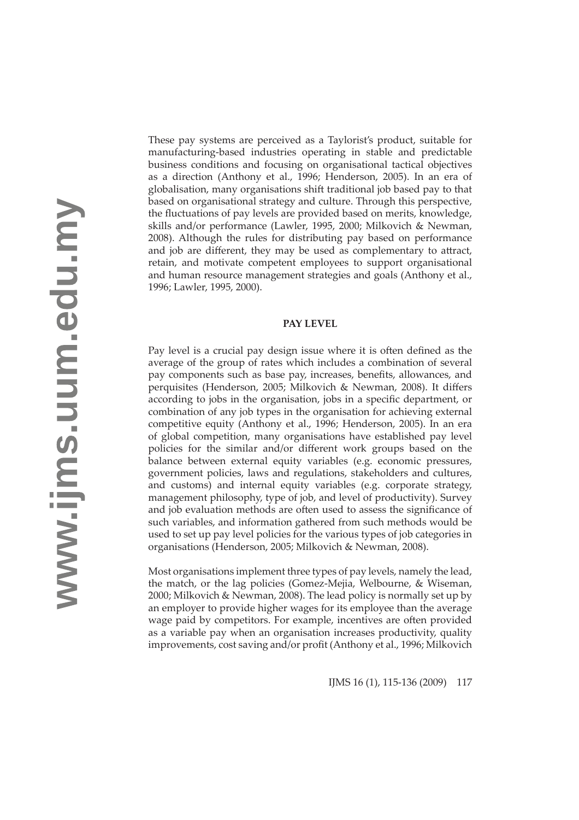These pay systems are perceived as a Taylorist's product, suitable for manufacturing-based industries operating in stable and predictable business conditions and focusing on organisational tactical objectives as a direction (Anthony et al., 1996; Henderson, 2005). In an era of globalisation, many organisations shift traditional job based pay to that based on organisational strategy and culture. Through this perspective, the fluctuations of pay levels are provided based on merits, knowledge, skills and/or performance (Lawler, 1995, 2000; Milkovich & Newman, 2008). Although the rules for distributing pay based on performance and job are different, they may be used as complementary to attract, retain, and motivate competent employees to support organisational and human resource management strategies and goals (Anthony et al., 1996; Lawler, 1995, 2000).

### **PAY LEVEL**

Pay level is a crucial pay design issue where it is often defined as the average of the group of rates which includes a combination of several pay components such as base pay, increases, benefits, allowances, and perquisites (Henderson, 2005; Milkovich & Newman, 2008). It differs according to jobs in the organisation, jobs in a specific department, or combination of any job types in the organisation for achieving external competitive equity (Anthony et al., 1996; Henderson, 2005). In an era of global competition, many organisations have established pay level policies for the similar and/or different work groups based on the balance between external equity variables (e.g. economic pressures, government policies, laws and regulations, stakeholders and cultures, and customs) and internal equity variables (e.g. corporate strategy, management philosophy, type of job, and level of productivity). Survey and job evaluation methods are often used to assess the significance of such variables, and information gathered from such methods would be used to set up pay level policies for the various types of job categories in organisations (Henderson, 2005; Milkovich & Newman, 2008).

Most organisations implement three types of pay levels, namely the lead, the match, or the lag policies (Gomez-Mejia, Welbourne, & Wiseman, 2000; Milkovich & Newman, 2008). The lead policy is normally set up by an employer to provide higher wages for its employee than the average wage paid by competitors. For example, incentives are often provided as a variable pay when an organisation increases productivity, quality improvements, cost saving and/or profit (Anthony et al., 1996; Milkovich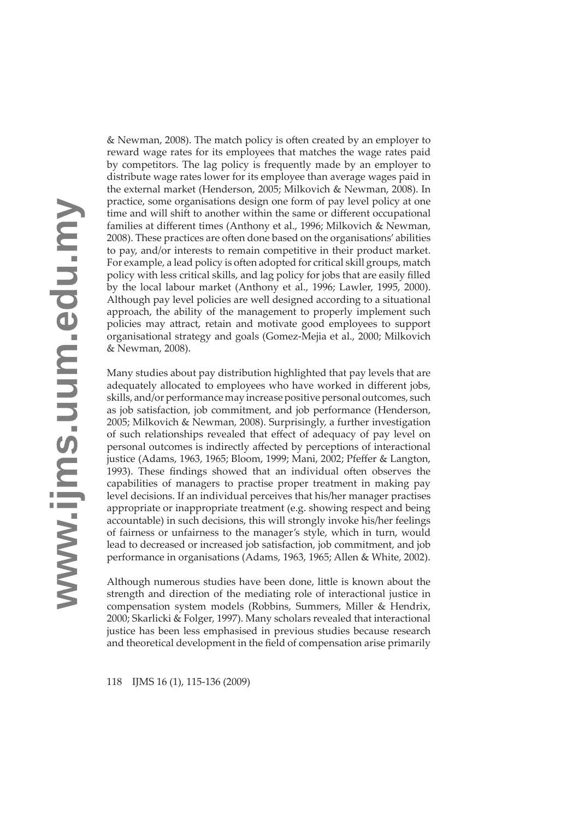& Newman, 2008). The match policy is often created by an employer to reward wage rates for its employees that matches the wage rates paid by competitors. The lag policy is frequently made by an employer to distribute wage rates lower for its employee than average wages paid in the external market (Henderson, 2005; Milkovich & Newman, 2008). In practice, some organisations design one form of pay level policy at one time and will shift to another within the same or different occupational families at different times (Anthony et al., 1996; Milkovich & Newman, 2008). These practices are often done based on the organisations' abilities to pay, and/or interests to remain competitive in their product market. For example, a lead policy is often adopted for critical skill groups, match policy with less critical skills, and lag policy for jobs that are easily filled by the local labour market (Anthony et al., 1996; Lawler, 1995, 2000). Although pay level policies are well designed according to a situational approach, the ability of the management to properly implement such policies may att ract, retain and motivate good employees to support organisational strategy and goals (Gomez-Mejia et al., 2000; Milkovich & Newman, 2008).

Many studies about pay distribution highlighted that pay levels that are adequately allocated to employees who have worked in different jobs, skills, and/or performance may increase positive personal outcomes, such as job satisfaction, job commitment, and job performance (Henderson, 2005; Milkovich & Newman, 2008). Surprisingly, a further investigation of such relationships revealed that effect of adequacy of pay level on personal outcomes is indirectly affected by perceptions of interactional justice (Adams, 1963, 1965; Bloom, 1999; Mani, 2002; Pfeffer & Langton, 1993). These findings showed that an individual often observes the capabilities of managers to practise proper treatment in making pay level decisions. If an individual perceives that his/her manager practises appropriate or inappropriate treatment (e.g. showing respect and being accountable) in such decisions, this will strongly invoke his/her feelings of fairness or unfairness to the manager's style, which in turn, would lead to decreased or increased job satisfaction, job commitment, and job performance in organisations (Adams, 1963, 1965; Allen & White, 2002).

Although numerous studies have been done, little is known about the strength and direction of the mediating role of interactional justice in compensation system models (Robbins, Summers, Miller & Hendrix, 2000; Skarlicki & Folger, 1997). Many scholars revealed that interactional justice has been less emphasised in previous studies because research and theoretical development in the field of compensation arise primarily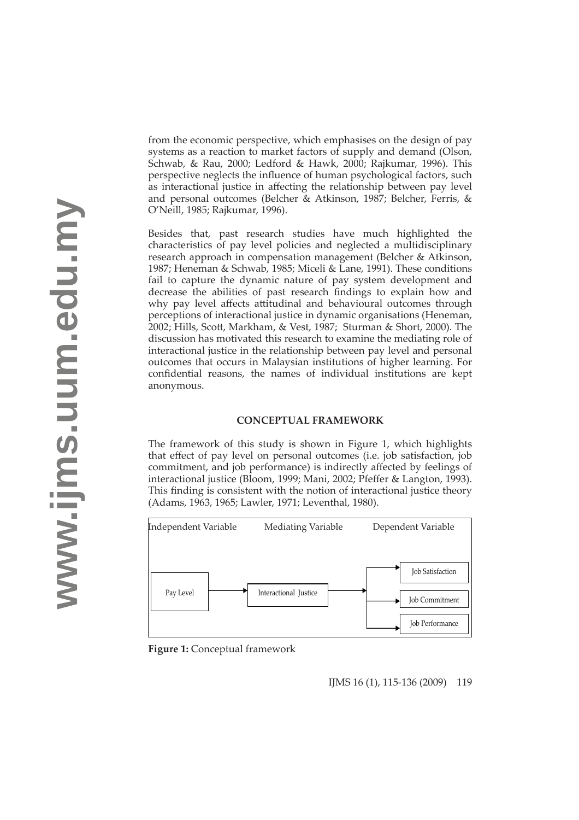from the economic perspective, which emphasises on the design of pay systems as a reaction to market factors of supply and demand (Olson, Schwab, & Rau, 2000; Ledford & Hawk, 2000; Rajkumar, 1996). This perspective neglects the influence of human psychological factors, such as interactional justice in affecting the relationship between pay level and personal outcomes (Belcher & Atkinson, 1987; Belcher, Ferris, & O'Neill, 1985; Rajkumar, 1996).

Besides that, past research studies have much highlighted the characteristics of pay level policies and neglected a multidisciplinary research approach in compensation management (Belcher & Atkinson, 1987; Heneman & Schwab, 1985; Miceli & Lane, 1991). These conditions fail to capture the dynamic nature of pay system development and decrease the abilities of past research findings to explain how and why pay level affects attitudinal and behavioural outcomes through perceptions of interactional justice in dynamic organisations (Heneman, 2002; Hills, Scott, Markham, & Vest, 1987; Sturman & Short, 2000). The discussion has motivated this research to examine the mediating role of interactional justice in the relationship between pay level and personal outcomes that occurs in Malaysian institutions of higher learning. For confidential reasons, the names of individual institutions are kept anonymous.

# **CONCEPTUAL FRAMEWORK**

The framework of this study is shown in Figure 1, which highlights that effect of pay level on personal outcomes (i.e. job satisfaction, job commitment, and job performance) is indirectly affected by feelings of interactional justice (Bloom, 1999; Mani, 2002; Pfeffer & Langton, 1993). This finding is consistent with the notion of interactional justice theory (Adams, 1963, 1965; Lawler, 1971; Leventhal, 1980).



**Figure 1:** Conceptual framework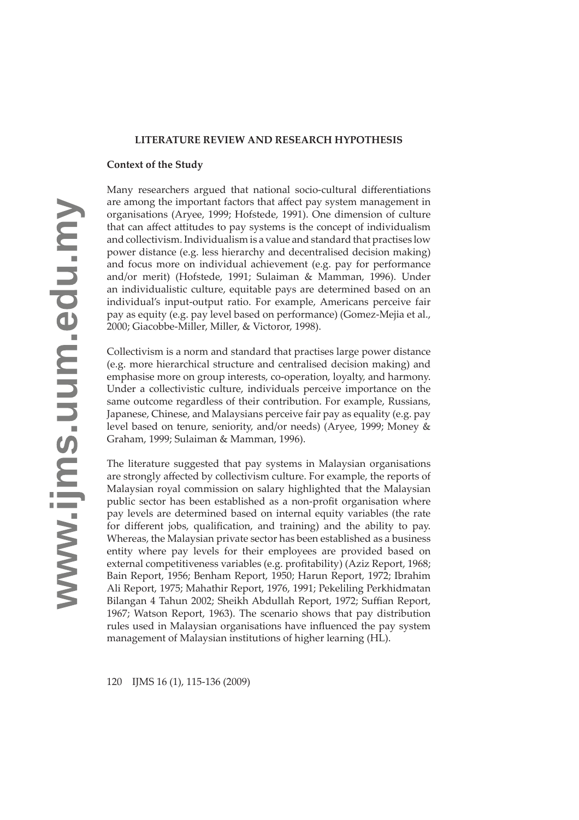# **LITERATURE REVIEW AND RESEARCH HYPOTHESIS**

# **Context of the Study**

Many researchers argued that national socio-cultural differentiations are among the important factors that affect pay system management in organisations (Aryee, 1999; Hofstede, 1991). One dimension of culture that can affect attitudes to pay systems is the concept of individualism and collectivism. Individualism is a value and standard that practises low power distance (e.g. less hierarchy and decentralised decision making) and focus more on individual achievement (e.g. pay for performance and/or merit) (Hofstede, 1991; Sulaiman & Mamman, 1996). Under an individualistic culture, equitable pays are determined based on an individual's input-output ratio. For example, Americans perceive fair pay as equity (e.g. pay level based on performance) (Gomez-Mejia et al., 2000; Giacobbe-Miller, Miller, & Victoror, 1998).

Collectivism is a norm and standard that practises large power distance (e.g. more hierarchical structure and centralised decision making) and emphasise more on group interests, co-operation, loyalty, and harmony. Under a collectivistic culture, individuals perceive importance on the same outcome regardless of their contribution. For example, Russians, Japanese, Chinese, and Malaysians perceive fair pay as equality (e.g. pay level based on tenure, seniority, and/or needs) (Aryee, 1999; Money & Graham, 1999; Sulaiman & Mamman, 1996).

The literature suggested that pay systems in Malaysian organisations are strongly affected by collectivism culture. For example, the reports of Malaysian royal commission on salary highlighted that the Malaysian public sector has been established as a non-profit organisation where pay levels are determined based on internal equity variables (the rate for different jobs, qualification, and training) and the ability to pay. Whereas, the Malaysian private sector has been established as a business entity where pay levels for their employees are provided based on external competitiveness variables (e.g. profitability) (Aziz Report, 1968; Bain Report, 1956; Benham Report, 1950; Harun Report, 1972; Ibrahim Ali Report, 1975; Mahathir Report, 1976, 1991; Pekeliling Perkhidmatan Bilangan 4 Tahun 2002; Sheikh Abdullah Report, 1972; Suffian Report, 1967; Watson Report, 1963). The scenario shows that pay distribution rules used in Malaysian organisations have influenced the pay system management of Malaysian institutions of higher learning (HL).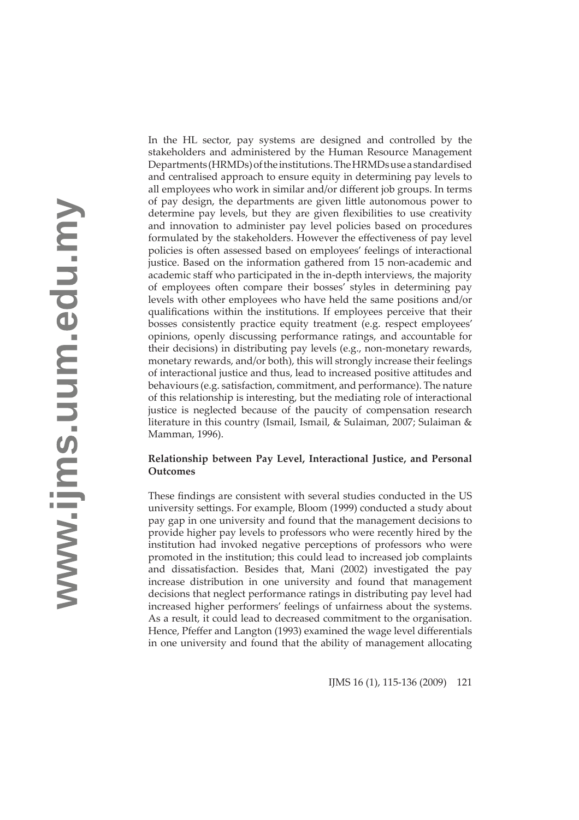In the HL sector, pay systems are designed and controlled by the stakeholders and administered by the Human Resource Management Departments (HRMDs) of the institutions. The HRMDs use a standardised and centralised approach to ensure equity in determining pay levels to all employees who work in similar and/or different job groups. In terms of pay design, the departments are given little autonomous power to determine pay levels, but they are given flexibilities to use creativity and innovation to administer pay level policies based on procedures formulated by the stakeholders. However the effectiveness of pay level policies is often assessed based on employees' feelings of interactional justice. Based on the information gathered from 15 non-academic and academic staff who participated in the in-depth interviews, the majority of employees often compare their bosses' styles in determining pay levels with other employees who have held the same positions and/or qualifications within the institutions. If employees perceive that their bosses consistently practice equity treatment (e.g. respect employees' opinions, openly discussing performance ratings, and accountable for their decisions) in distributing pay levels (e.g., non-monetary rewards, monetary rewards, and/or both), this will strongly increase their feelings of interactional justice and thus, lead to increased positive attitudes and behaviours (e.g. satisfaction, commitment, and performance). The nature of this relationship is interesting, but the mediating role of interactional justice is neglected because of the paucity of compensation research literature in this country (Ismail, Ismail, & Sulaiman, 2007; Sulaiman & Mamman, 1996).

# **Relationship between Pay Level, Interactional Justice, and Personal Outcomes**

These findings are consistent with several studies conducted in the US university settings. For example, Bloom (1999) conducted a study about pay gap in one university and found that the management decisions to provide higher pay levels to professors who were recently hired by the institution had invoked negative perceptions of professors who were promoted in the institution; this could lead to increased job complaints and dissatisfaction. Besides that, Mani (2002) investigated the pay increase distribution in one university and found that management decisions that neglect performance ratings in distributing pay level had increased higher performers' feelings of unfairness about the systems. As a result, it could lead to decreased commitment to the organisation. Hence, Pfeffer and Langton (1993) examined the wage level differentials in one university and found that the ability of management allocating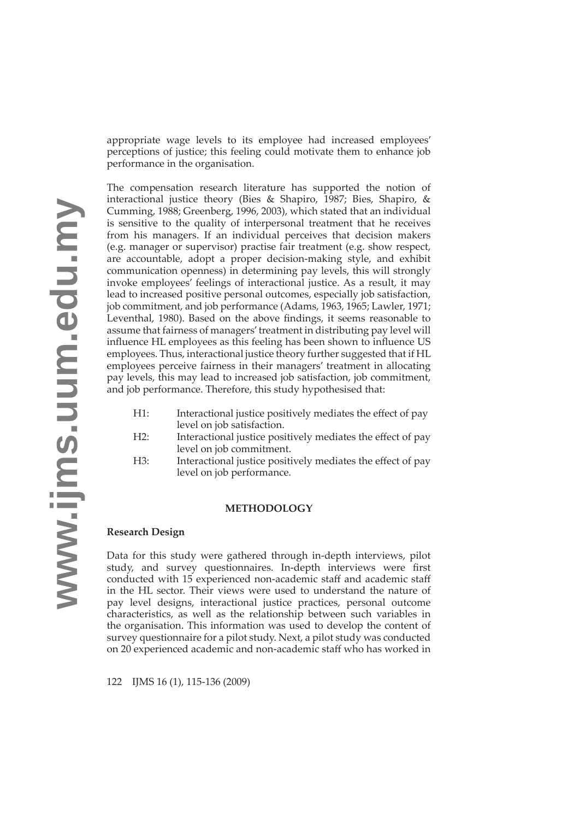appropriate wage levels to its employee had increased employees' perceptions of justice; this feeling could motivate them to enhance job performance in the organisation.

The compensation research literature has supported the notion of interactional justice theory (Bies & Shapiro, 1987; Bies, Shapiro, & Cumming, 1988; Greenberg, 1996, 2003), which stated that an individual is sensitive to the quality of interpersonal treatment that he receives from his managers. If an individual perceives that decision makers (e.g. manager or supervisor) practise fair treatment (e.g. show respect, are accountable, adopt a proper decision-making style, and exhibit communication openness) in determining pay levels, this will strongly invoke employees' feelings of interactional justice. As a result, it may lead to increased positive personal outcomes, especially job satisfaction, job commitment, and job performance (Adams, 1963, 1965; Lawler, 1971; Leventhal, 1980). Based on the above findings, it seems reasonable to assume that fairness of managers' treatment in distributing pay level will influence HL employees as this feeling has been shown to influence US employees. Thus, interactional justice theory further suggested that if HL employees perceive fairness in their managers' treatment in allocating pay levels, this may lead to increased job satisfaction, job commitment, and job performance. Therefore, this study hypothesised that:

- H1: Interactional justice positively mediates the effect of pay level on job satisfaction.
- H2: Interactional justice positively mediates the effect of pay level on job commitment.
- H3: Interactional justice positively mediates the effect of pay level on job performance.

# **METHODOLOGY**

# **Research Design**

Data for this study were gathered through in-depth interviews, pilot study, and survey questionnaires. In-depth interviews were first conducted with 15 experienced non-academic staff and academic staff in the HL sector. Their views were used to understand the nature of pay level designs, interactional justice practices, personal outcome characteristics, as well as the relationship between such variables in the organisation. This information was used to develop the content of survey questionnaire for a pilot study. Next, a pilot study was conducted on 20 experienced academic and non-academic staff who has worked in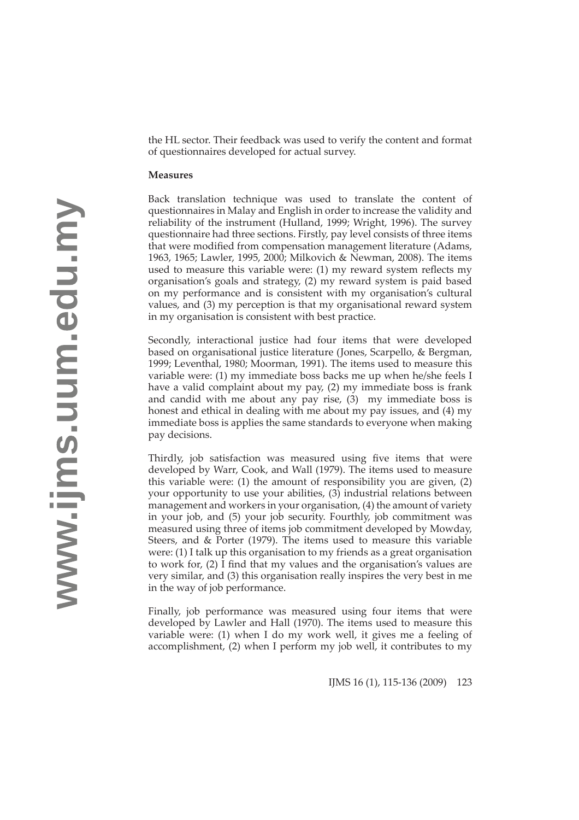the HL sector. Their feedback was used to verify the content and format of questionnaires developed for actual survey.

# **Measures**

Back translation technique was used to translate the content of questionnaires in Malay and English in order to increase the validity and reliability of the instrument (Hulland, 1999; Wright, 1996). The survey questionnaire had three sections. Firstly, pay level consists of three items that were modified from compensation management literature (Adams, 1963, 1965; Lawler, 1995, 2000; Milkovich & Newman, 2008). The items used to measure this variable were:  $(1)$  my reward system reflects my organisation's goals and strategy, (2) my reward system is paid based on my performance and is consistent with my organisation's cultural values, and (3) my perception is that my organisational reward system in my organisation is consistent with best practice.

Secondly, interactional justice had four items that were developed based on organisational justice literature (Jones, Scarpello, & Bergman, 1999; Leventhal, 1980; Moorman, 1991). The items used to measure this variable were: (1) my immediate boss backs me up when he/she feels I have a valid complaint about my pay, (2) my immediate boss is frank and candid with me about any pay rise, (3) my immediate boss is honest and ethical in dealing with me about my pay issues, and (4) my immediate boss is applies the same standards to everyone when making pay decisions.

Thirdly, job satisfaction was measured using five items that were developed by Warr, Cook, and Wall (1979). The items used to measure this variable were: (1) the amount of responsibility you are given, (2) your opportunity to use your abilities, (3) industrial relations between management and workers in your organisation, (4) the amount of variety in your job, and (5) your job security. Fourthly, job commitment was measured using three of items job commitment developed by Mowday, Steers, and & Porter (1979). The items used to measure this variable were: (1) I talk up this organisation to my friends as a great organisation to work for,  $(2)$  I find that my values and the organisation's values are very similar, and (3) this organisation really inspires the very best in me in the way of job performance.

Finally, job performance was measured using four items that were developed by Lawler and Hall (1970). The items used to measure this variable were: (1) when I do my work well, it gives me a feeling of accomplishment, (2) when I perform my job well, it contributes to my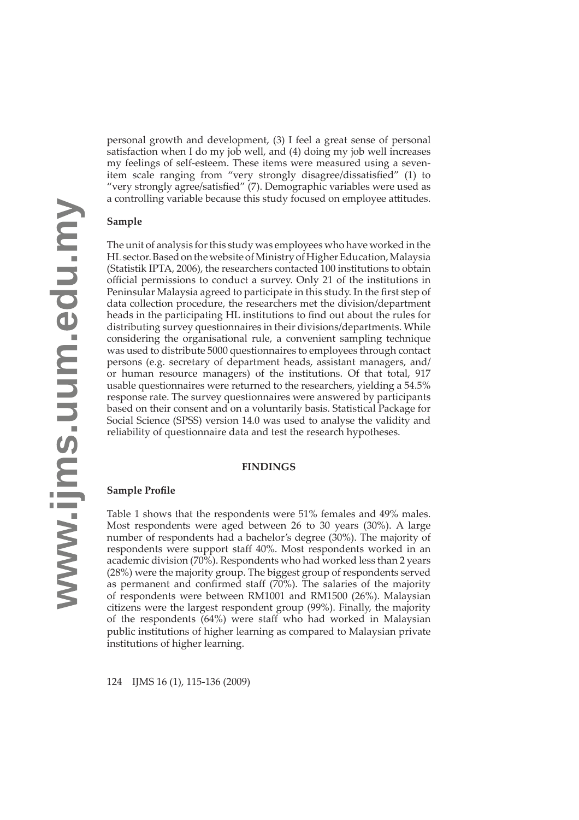personal growth and development, (3) I feel a great sense of personal satisfaction when I do my job well, and (4) doing my job well increases my feelings of self-esteem. These items were measured using a sevenitem scale ranging from "very strongly disagree/dissatisfied" (1) to "very strongly agree/satisfied" (7). Demographic variables were used as a controlling variable because this study focused on employee attitudes.

# **Sample**

The unit of analysis for this study was employees who have worked in the HL sector. Based on the website of Ministry of Higher Education, Malaysia (Statistik IPTA, 2006), the researchers contacted 100 institutions to obtain official permissions to conduct a survey. Only 21 of the institutions in Peninsular Malaysia agreed to participate in this study. In the first step of data collection procedure, the researchers met the division/department heads in the participating HL institutions to find out about the rules for distributing survey questionnaires in their divisions/departments. While considering the organisational rule, a convenient sampling technique was used to distribute 5000 questionnaires to employees through contact persons (e.g. secretary of department heads, assistant managers, and/ or human resource managers) of the institutions. Of that total, 917 usable questionnaires were returned to the researchers, yielding a 54.5% response rate. The survey questionnaires were answered by participants based on their consent and on a voluntarily basis. Statistical Package for Social Science (SPSS) version 14.0 was used to analyse the validity and reliability of questionnaire data and test the research hypotheses.

#### **FINDINGS**

### **Sample Profile**

Table 1 shows that the respondents were 51% females and 49% males. Most respondents were aged between 26 to 30 years (30%). A large number of respondents had a bachelor's degree (30%). The majority of respondents were support staff 40%. Most respondents worked in an academic division (70%). Respondents who had worked less than 2 years (28%) were the majority group. The biggest group of respondents served as permanent and confirmed staff (70%). The salaries of the majority of respondents were between RM1001 and RM1500 (26%). Malaysian citizens were the largest respondent group (99%). Finally, the majority of the respondents (64%) were staff who had worked in Malaysian public institutions of higher learning as compared to Malaysian private institutions of higher learning.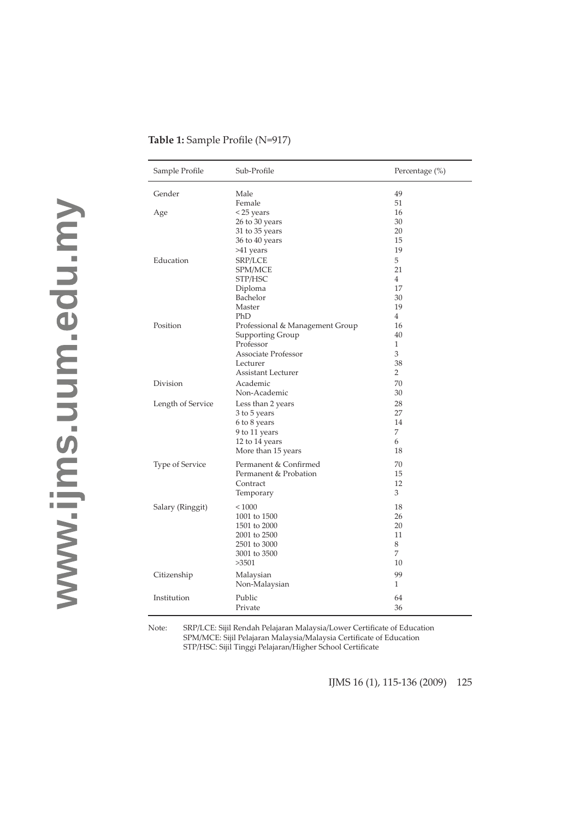| Sample Profile    | Sub-Profile                     | Percentage (%) |
|-------------------|---------------------------------|----------------|
| Gender            | Male                            | 49             |
|                   | Female                          | 51             |
| Age               | < 25 years                      | 16             |
|                   | 26 to 30 years                  | 30             |
|                   | 31 to 35 years                  | 20             |
|                   | 36 to 40 years                  | 15             |
|                   | >41 years                       | 19             |
| Education         | SRP/LCE                         | 5              |
|                   | SPM/MCE                         | 21             |
|                   | STP/HSC                         | $\overline{4}$ |
|                   | Diploma                         | 17             |
|                   | Bachelor                        | 30             |
|                   | Master                          | 19             |
|                   | PhD                             | 4              |
| Position          | Professional & Management Group | 16             |
|                   | Supporting Group                | 40             |
|                   | Professor                       | 1              |
|                   | Associate Professor             | 3              |
|                   | Lecturer                        | 38             |
|                   | Assistant Lecturer              | $\overline{2}$ |
| Division          | Academic                        | 70             |
|                   |                                 | 30             |
|                   | Non-Academic                    |                |
| Length of Service | Less than 2 years               | 28             |
|                   | 3 to 5 years                    | 27             |
|                   | 6 to 8 years                    | 14             |
|                   | 9 to 11 years                   | 7              |
|                   | 12 to 14 years                  | 6              |
|                   | More than 15 years              | 18             |
| Type of Service   | Permanent & Confirmed           | 70             |
|                   | Permanent & Probation           | 15             |
|                   | Contract                        | 12             |
|                   | Temporary                       | 3              |
|                   | ${}< 1000$                      | 18             |
| Salary (Ringgit)  | 1001 to 1500                    | 26             |
|                   | 1501 to 2000                    | 20             |
|                   |                                 | 11             |
|                   | 2001 to 2500<br>2501 to 3000    | 8              |
|                   |                                 | 7              |
|                   | 3001 to 3500                    |                |
|                   | >3501                           | 10             |
| Citizenship       | Malaysian                       | 99             |
|                   | Non-Malaysian                   | 1              |
| Institution       | Public                          | 64             |
|                   | Private                         | 36             |
|                   |                                 |                |

# **Table 1:** Sample Profile (N=917)

Note: SRP/LCE: Sijil Rendah Pelajaran Malaysia/Lower Certificate of Education SPM/MCE: Sijil Pelajaran Malaysia/Malaysia Certificate of Education STP/HSC: Sijil Tinggi Pelajaran/Higher School Certificate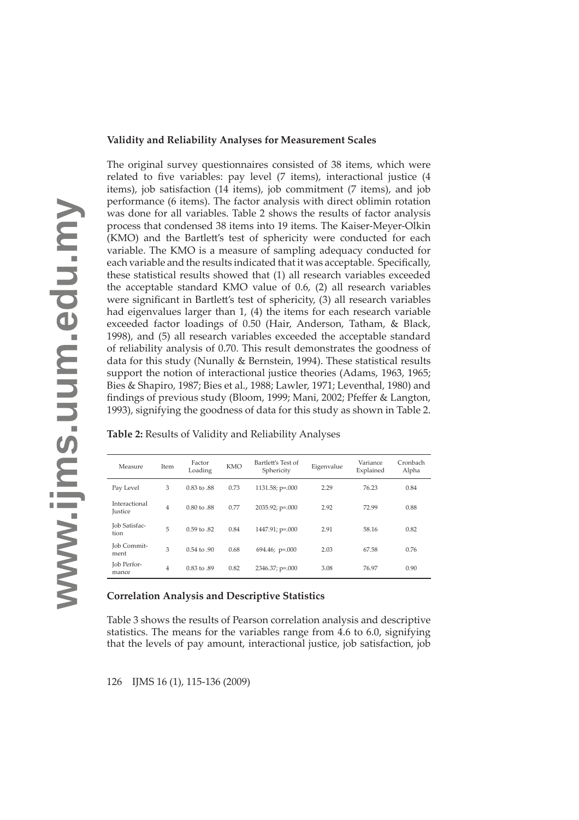# **Validity and Reliability Analyses for Measurement Scales**

The original survey questionnaires consisted of 38 items, which were related to five variables: pay level  $(7 \text{ items})$ , interactional justice  $(4 \text{ items})$ items), job satisfaction (14 items), job commitment (7 items), and job performance (6 items). The factor analysis with direct oblimin rotation was done for all variables. Table 2 shows the results of factor analysis process that condensed 38 items into 19 items. The Kaiser-Meyer-Olkin (KMO) and the Bartlett's test of sphericity were conducted for each variable. The KMO is a measure of sampling adequacy conducted for each variable and the results indicated that it was acceptable. Specifically, these statistical results showed that (1) all research variables exceeded the acceptable standard KMO value of 0.6, (2) all research variables were significant in Bartlett's test of sphericity, (3) all research variables had eigenvalues larger than 1, (4) the items for each research variable exceeded factor loadings of 0.50 (Hair, Anderson, Tatham, & Black, 1998), and (5) all research variables exceeded the acceptable standard of reliability analysis of 0.70. This result demonstrates the goodness of data for this study (Nunally & Bernstein, 1994). These statistical results support the notion of interactional justice theories (Adams, 1963, 1965; Bies & Shapiro, 1987; Bies et al., 1988; Lawler, 1971; Leventhal, 1980) and findings of previous study (Bloom, 1999; Mani, 2002; Pfeffer & Langton, 1993), signifying the goodness of data for this study as shown in Table 2.

| Measure                         | Item | Factor<br>Loading | <b>KMO</b> | Bartlett's Test of<br>Sphericity | Eigenvalue | Variance<br>Explained | Cronbach<br>Alpha |
|---------------------------------|------|-------------------|------------|----------------------------------|------------|-----------------------|-------------------|
| Pay Level                       | 3    | 0.83 to .88       | 0.73       | $1131.58; p=.000$                | 2.29       | 76.23                 | 0.84              |
| Interactional<br><b>Justice</b> | 4    | 0.80 to .88       | 0.77       | $2035.92$ ; p=.000               | 2.92       | 72.99                 | 0.88              |
| Job Satisfac-<br>tion           | 5    | 0.59 to .82       | 0.84       | $1447.91$ ; p=.000               | 2.91       | 58.16                 | 0.82              |
| Job Commit-<br>ment             | 3    | 0.54 to .90       | 0.68       | $694.46; p=.000$                 | 2.03       | 67.58                 | 0.76              |
| Job Perfor-<br>mance            | 4    | 0.83 to .89       | 0.82       | $2346.37; p=.000$                | 3.08       | 76.97                 | 0.90              |

**Table 2:** Results of Validity and Reliability Analyses

# **Correlation Analysis and Descriptive Statistics**

Table 3 shows the results of Pearson correlation analysis and descriptive statistics. The means for the variables range from 4.6 to 6.0, signifying that the levels of pay amount, interactional justice, job satisfaction, job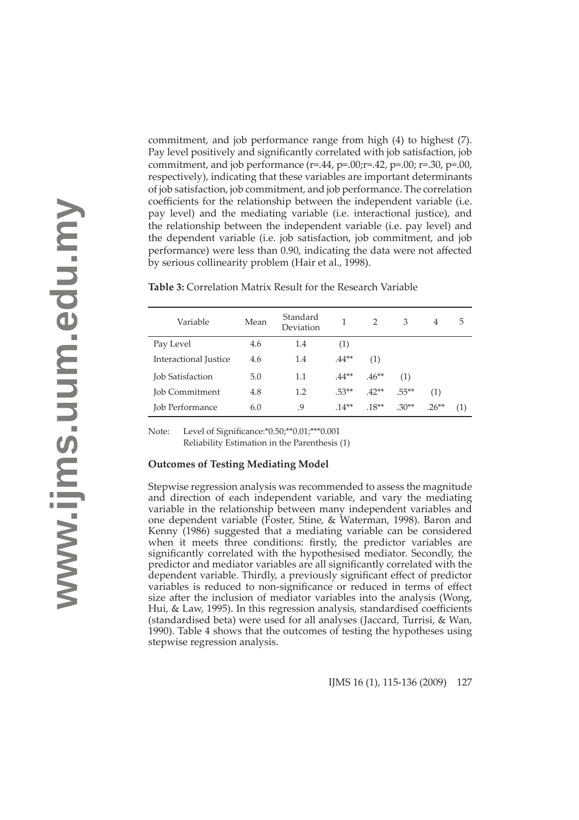commitment, and job performance range from high (4) to highest (7). Pay level positively and significantly correlated with job satisfaction, job commitment, and job performance  $(r=.44, p=.00; r=.42, p=.00; r=.30, p=.00,$ respectively), indicating that these variables are important determinants of job satisfaction, job commitment, and job performance. The correlation coefficients for the relationship between the independent variable (i.e. pay level) and the mediating variable (i.e. interactional justice), and the relationship between the independent variable (i.e. pay level) and the dependent variable (i.e. job satisfaction, job commitment, and job performance) were less than 0.90, indicating the data were not affected by serious collinearity problem (Hair et al., 1998).

| Variable                | Mean | Standard<br>Deviation | 1       | $\mathcal{P}$ | 3        | $\overline{4}$ | 5   |
|-------------------------|------|-----------------------|---------|---------------|----------|----------------|-----|
| Pay Level               | 4.6  | 1.4                   | (1)     |               |          |                |     |
| Interactional Justice   | 4.6  | 1.4                   | $.44**$ | (1)           |          |                |     |
| <b>Job Satisfaction</b> | 5.0  | 1.1                   | $.44**$ | $.46**$       | (1)      |                |     |
| <b>Job Commitment</b>   | 4.8  | 1.2                   | $.53**$ | $.42**$       | $.55***$ | (1)            |     |
| <b>Job Performance</b>  | 6.0  | 9.                    | $14**$  | $.18**$       | $.30**$  | $.26**$        | (1) |

**Table 3:** Correlation Matrix Result for the Research Variable

Note: Level of Significance: \*0.50; \*\* 0.01; \*\* \*0.001 Reliability Estimation in the Parenthesis (1)

### **Outcomes of Testing Mediating Model**

Stepwise regression analysis was recommended to assess the magnitude and direction of each independent variable, and vary the mediating variable in the relationship between many independent variables and one dependent variable (Foster, Stine, & Waterman, 1998). Baron and Kenny (1986) suggested that a mediating variable can be considered when it meets three conditions: firstly, the predictor variables are significantly correlated with the hypothesised mediator. Secondly, the predictor and mediator variables are all significantly correlated with the dependent variable. Thirdly, a previously significant effect of predictor variables is reduced to non-significance or reduced in terms of effect size after the inclusion of mediator variables into the analysis (Wong, Hui, & Law, 1995). In this regression analysis, standardised coefficients (standardised beta) were used for all analyses (Jaccard, Turrisi, & Wan, 1990). Table 4 shows that the outcomes of testing the hypotheses using stepwise regression analysis.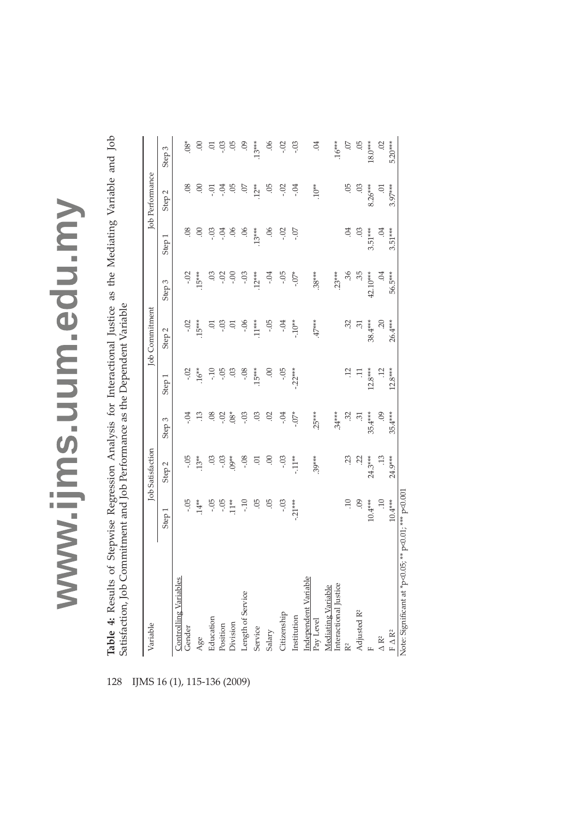Table 4: Results of Stepwise Regression Analysis for Interactional Justice as the Mediating Variable and Job Satisfaction, Job Commitment and Job Performance as the Dependent Variable **Table 4:** Results of Stepwise Regression Analysis for Interactional Justice as the Mediating Variable and Job Satisfaction, Job Commitment and Job Performance as the Dependent Variable

| $.10**$<br>-05<br>8<br>9.<br>$12**$<br>-05<br>$-0.2$<br>SG.<br>$8.26***$<br>$\odot$<br>$\rm 0.0$<br>÷04<br>Ŕ,<br>$\Xi$<br>Ξ.<br>Step <sub>2</sub><br>$.13***$<br>$3.51***$<br>$\ddot{\circ}$<br>$\mathcal{S}$<br>90.<br>90.<br>$-0.02$<br>-07<br>S.<br>S.<br>$-03$<br>S.<br>$\odot$<br>-04<br>Step 1<br>$.38***$<br>$.23***$<br>$\ddot{36}$<br>$-0$<br>$.15***$<br>$.12***$<br>-.05<br>$-0.7*$<br>.35<br>S.<br>-.02<br>$\sum_{i=1}^{n}$<br>÷04<br>42.10***<br>°.<br>Ś.<br>Step 3<br>$-10**$<br>$47***$<br>32<br>-.02<br>$.15***$<br>$.11***$<br>-.05<br>38.4***<br>$\overline{.20}$<br>-.03<br>$-0.06$<br>÷Ö4<br>$\dot{\Xi}$<br>Ġ.<br>Э.<br>Step <sub>2</sub><br>$.15***$<br>$-0.2$<br>$16**$<br>-.05<br>$-0.8$<br>$\mathbf{S}$<br>-.05<br>$-22***$<br>$12.8***$<br>$-10$<br>S.<br>$\Xi$<br>Step <sub>1</sub><br>$.25***$<br>$.08*$<br>$-0.7*$<br>$34***$<br>$\ddot{\circ}$<br>$-0.2$<br>$-0.3$<br>.03<br><b>SO</b> .<br>-.04<br>$\ddot{3}$<br>$35.4***$<br>$60$ .<br>₩.<br>- 04<br>ಸ<br>Step <sub>3</sub><br>$.39***$<br>$13**$<br>$09**$<br>$-11**$<br>-.05<br>$-0.08$<br>$\mathbf{S}$<br>S.<br>$\dot{\textrm{S}}$<br>24.3***<br>$\ddot{.}$<br>S.<br>$-03$<br>$-0.03$<br>Б.<br>Step <sub>2</sub><br>-95<br>$-21***$<br>$\overline{10}$<br>$60$ .<br>$10.4***$<br>$\overline{10}$<br>$-0.5$<br>$14**$<br>$-05$<br>$-0.5$<br>$11**$<br>$-10$<br>05<br>$-0.3$<br>Step 1<br><u>Independent Variable</u><br>Pay Level<br><b>Controlling Variables</b><br>Interactional Justice<br>Mediating Variable<br>Length of Service<br>Adjusted R <sup>2</sup><br>Citizenship<br>Institution<br>Education<br>Division<br>Position<br>Gender<br>Service<br>Salary<br>$\Delta$ $\rm R^2$<br>Age<br>R <sup>2</sup> | Variable                                 |           | <b>Job Satisfaction</b> |           |           | Job Commitment |         |           | Job Performance |                |
|----------------------------------------------------------------------------------------------------------------------------------------------------------------------------------------------------------------------------------------------------------------------------------------------------------------------------------------------------------------------------------------------------------------------------------------------------------------------------------------------------------------------------------------------------------------------------------------------------------------------------------------------------------------------------------------------------------------------------------------------------------------------------------------------------------------------------------------------------------------------------------------------------------------------------------------------------------------------------------------------------------------------------------------------------------------------------------------------------------------------------------------------------------------------------------------------------------------------------------------------------------------------------------------------------------------------------------------------------------------------------------------------------------------------------------------------------------------------------------------------------------------------------------------------------------------------------------------------------------------------------------------------------------------------------------------------------|------------------------------------------|-----------|-------------------------|-----------|-----------|----------------|---------|-----------|-----------------|----------------|
|                                                                                                                                                                                                                                                                                                                                                                                                                                                                                                                                                                                                                                                                                                                                                                                                                                                                                                                                                                                                                                                                                                                                                                                                                                                                                                                                                                                                                                                                                                                                                                                                                                                                                                    |                                          |           |                         |           |           |                |         |           |                 | Step 3         |
|                                                                                                                                                                                                                                                                                                                                                                                                                                                                                                                                                                                                                                                                                                                                                                                                                                                                                                                                                                                                                                                                                                                                                                                                                                                                                                                                                                                                                                                                                                                                                                                                                                                                                                    |                                          |           |                         |           |           |                |         |           |                 | $.08*$         |
|                                                                                                                                                                                                                                                                                                                                                                                                                                                                                                                                                                                                                                                                                                                                                                                                                                                                                                                                                                                                                                                                                                                                                                                                                                                                                                                                                                                                                                                                                                                                                                                                                                                                                                    |                                          |           |                         |           |           |                |         |           |                 | $\odot$        |
|                                                                                                                                                                                                                                                                                                                                                                                                                                                                                                                                                                                                                                                                                                                                                                                                                                                                                                                                                                                                                                                                                                                                                                                                                                                                                                                                                                                                                                                                                                                                                                                                                                                                                                    |                                          |           |                         |           |           |                |         |           |                 | 5.             |
|                                                                                                                                                                                                                                                                                                                                                                                                                                                                                                                                                                                                                                                                                                                                                                                                                                                                                                                                                                                                                                                                                                                                                                                                                                                                                                                                                                                                                                                                                                                                                                                                                                                                                                    |                                          |           |                         |           |           |                |         |           |                 | $-0.3$         |
|                                                                                                                                                                                                                                                                                                                                                                                                                                                                                                                                                                                                                                                                                                                                                                                                                                                                                                                                                                                                                                                                                                                                                                                                                                                                                                                                                                                                                                                                                                                                                                                                                                                                                                    |                                          |           |                         |           |           |                |         |           |                 | 5Ö             |
|                                                                                                                                                                                                                                                                                                                                                                                                                                                                                                                                                                                                                                                                                                                                                                                                                                                                                                                                                                                                                                                                                                                                                                                                                                                                                                                                                                                                                                                                                                                                                                                                                                                                                                    |                                          |           |                         |           |           |                |         |           |                 | 60.            |
|                                                                                                                                                                                                                                                                                                                                                                                                                                                                                                                                                                                                                                                                                                                                                                                                                                                                                                                                                                                                                                                                                                                                                                                                                                                                                                                                                                                                                                                                                                                                                                                                                                                                                                    |                                          |           |                         |           |           |                |         |           |                 | $.13***$       |
|                                                                                                                                                                                                                                                                                                                                                                                                                                                                                                                                                                                                                                                                                                                                                                                                                                                                                                                                                                                                                                                                                                                                                                                                                                                                                                                                                                                                                                                                                                                                                                                                                                                                                                    |                                          |           |                         |           |           |                |         |           |                 | 06             |
|                                                                                                                                                                                                                                                                                                                                                                                                                                                                                                                                                                                                                                                                                                                                                                                                                                                                                                                                                                                                                                                                                                                                                                                                                                                                                                                                                                                                                                                                                                                                                                                                                                                                                                    |                                          |           |                         |           |           |                |         |           |                 | $-0.02$        |
|                                                                                                                                                                                                                                                                                                                                                                                                                                                                                                                                                                                                                                                                                                                                                                                                                                                                                                                                                                                                                                                                                                                                                                                                                                                                                                                                                                                                                                                                                                                                                                                                                                                                                                    |                                          |           |                         |           |           |                |         |           |                 | $-0.3$         |
|                                                                                                                                                                                                                                                                                                                                                                                                                                                                                                                                                                                                                                                                                                                                                                                                                                                                                                                                                                                                                                                                                                                                                                                                                                                                                                                                                                                                                                                                                                                                                                                                                                                                                                    |                                          |           |                         |           |           |                |         |           |                 | 04             |
|                                                                                                                                                                                                                                                                                                                                                                                                                                                                                                                                                                                                                                                                                                                                                                                                                                                                                                                                                                                                                                                                                                                                                                                                                                                                                                                                                                                                                                                                                                                                                                                                                                                                                                    |                                          |           |                         |           |           |                |         |           |                 | $.16***$       |
|                                                                                                                                                                                                                                                                                                                                                                                                                                                                                                                                                                                                                                                                                                                                                                                                                                                                                                                                                                                                                                                                                                                                                                                                                                                                                                                                                                                                                                                                                                                                                                                                                                                                                                    |                                          |           |                         |           |           |                |         |           |                 | $\overline{C}$ |
|                                                                                                                                                                                                                                                                                                                                                                                                                                                                                                                                                                                                                                                                                                                                                                                                                                                                                                                                                                                                                                                                                                                                                                                                                                                                                                                                                                                                                                                                                                                                                                                                                                                                                                    |                                          |           |                         |           |           |                |         |           |                 | 05             |
|                                                                                                                                                                                                                                                                                                                                                                                                                                                                                                                                                                                                                                                                                                                                                                                                                                                                                                                                                                                                                                                                                                                                                                                                                                                                                                                                                                                                                                                                                                                                                                                                                                                                                                    |                                          |           |                         |           |           |                |         |           |                 | $18.0***$      |
|                                                                                                                                                                                                                                                                                                                                                                                                                                                                                                                                                                                                                                                                                                                                                                                                                                                                                                                                                                                                                                                                                                                                                                                                                                                                                                                                                                                                                                                                                                                                                                                                                                                                                                    |                                          |           |                         |           |           |                |         |           |                 | 02             |
|                                                                                                                                                                                                                                                                                                                                                                                                                                                                                                                                                                                                                                                                                                                                                                                                                                                                                                                                                                                                                                                                                                                                                                                                                                                                                                                                                                                                                                                                                                                                                                                                                                                                                                    | $\mathbb{F}\mathbin{\Delta}\mathbb{R}^2$ | $10.4***$ | 24.9***                 | $35.4***$ | $12.8***$ | 26.4***        | 56.5*** | $3.51***$ | $3.97***$       | 5.20***        |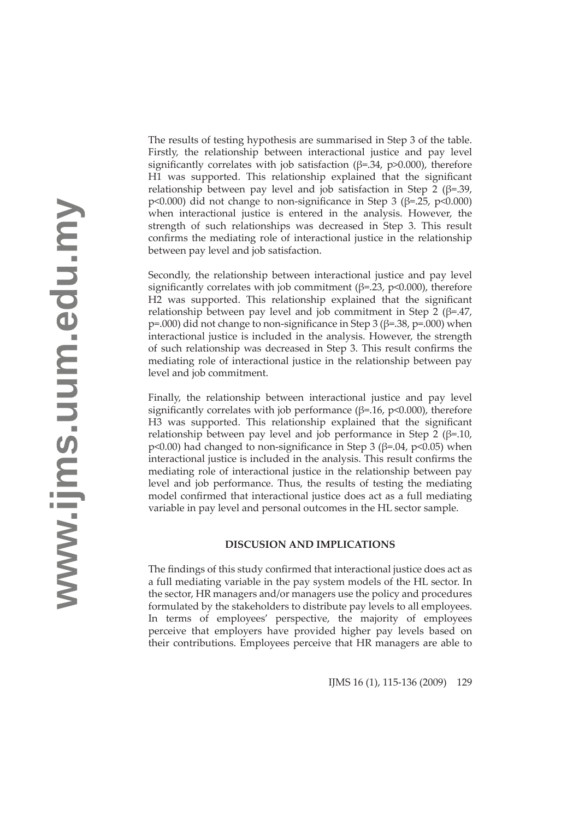The results of testing hypothesis are summarised in Step 3 of the table. Firstly, the relationship between interactional justice and pay level significantly correlates with job satisfaction  $(\beta = .34, p > 0.000)$ , therefore H1 was supported. This relationship explained that the significant relationship between pay level and job satisfaction in Step 2 ( $\beta$ =.39, p<0.000) did not change to non-significance in Step 3 ( $\beta$ =.25, p<0.000) when interactional justice is entered in the analysis. However, the strength of such relationships was decreased in Step 3. This result confirms the mediating role of interactional justice in the relationship between pay level and job satisfaction.

Secondly, the relationship between interactional justice and pay level significantly correlates with job commitment ( $\beta$ =.23, p<0.000), therefore H2 was supported. This relationship explained that the significant relationship between pay level and job commitment in Step 2 ( $\beta$ =.47, p=.000) did not change to non-significance in Step 3 ( $\beta$ =.38, p=.000) when interactional justice is included in the analysis. However, the strength of such relationship was decreased in Step 3. This result confirms the mediating role of interactional justice in the relationship between pay level and job commitment.

Finally, the relationship between interactional justice and pay level significantly correlates with job performance ( $\beta$ =.16, p<0.000), therefore H3 was supported. This relationship explained that the significant relationship between pay level and job performance in Step 2 ( $\beta$ =.10, p<0.00) had changed to non-significance in Step 3 ( $\beta$ =.04, p<0.05) when interactional justice is included in the analysis. This result confirms the mediating role of interactional justice in the relationship between pay level and job performance. Thus, the results of testing the mediating model confirmed that interactional justice does act as a full mediating variable in pay level and personal outcomes in the HL sector sample.

### **DISCUSION AND IMPLICATIONS**

The findings of this study confirmed that interactional justice does act as a full mediating variable in the pay system models of the HL sector. In the sector, HR managers and/or managers use the policy and procedures formulated by the stakeholders to distribute pay levels to all employees. In terms of employees' perspective, the majority of employees perceive that employers have provided higher pay levels based on their contributions. Employees perceive that HR managers are able to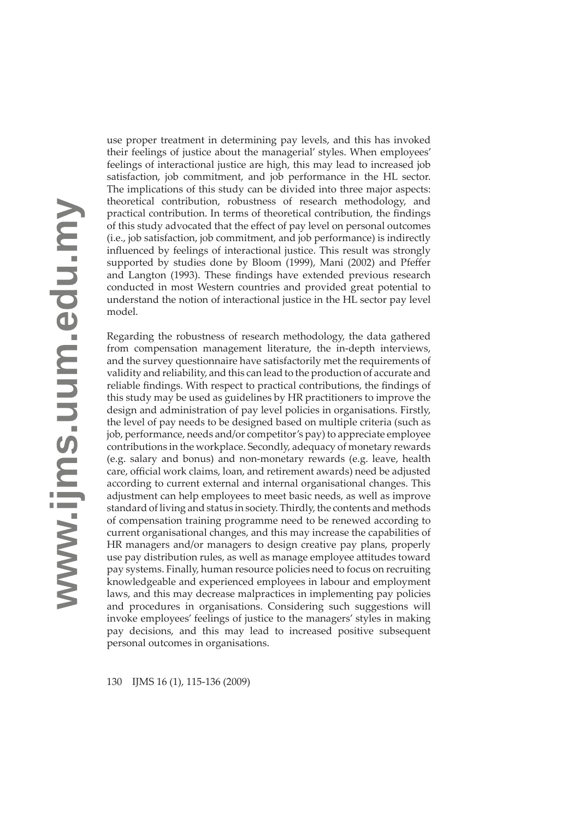use proper treatment in determining pay levels, and this has invoked their feelings of justice about the managerial' styles. When employees' feelings of interactional justice are high, this may lead to increased job satisfaction, job commitment, and job performance in the HL sector. The implications of this study can be divided into three major aspects: theoretical contribution, robustness of research methodology, and practical contribution. In terms of theoretical contribution, the findings of this study advocated that the effect of pay level on personal outcomes (i.e., job satisfaction, job commitment, and job performance) is indirectly influenced by feelings of interactional justice. This result was strongly supported by studies done by Bloom (1999), Mani (2002) and Pfeffer and Langton (1993). These findings have extended previous research conducted in most Western countries and provided great potential to understand the notion of interactional justice in the HL sector pay level model.

Regarding the robustness of research methodology, the data gathered from compensation management literature, the in-depth interviews, and the survey questionnaire have satisfactorily met the requirements of validity and reliability, and this can lead to the production of accurate and reliable findings. With respect to practical contributions, the findings of this study may be used as guidelines by HR practitioners to improve the design and administration of pay level policies in organisations. Firstly, the level of pay needs to be designed based on multiple criteria (such as job, performance, needs and/or competitor's pay) to appreciate employee contributions in the workplace. Secondly, adequacy of monetary rewards (e.g. salary and bonus) and non-monetary rewards (e.g. leave, health care, official work claims, loan, and retirement awards) need be adjusted according to current external and internal organisational changes. This adjustment can help employees to meet basic needs, as well as improve standard of living and status in society. Thirdly, the contents and methods of compensation training programme need to be renewed according to current organisational changes, and this may increase the capabilities of HR managers and/or managers to design creative pay plans, properly use pay distribution rules, as well as manage employee attitudes toward pay systems. Finally, human resource policies need to focus on recruiting knowledgeable and experienced employees in labour and employment laws, and this may decrease malpractices in implementing pay policies and procedures in organisations. Considering such suggestions will invoke employees' feelings of justice to the managers' styles in making pay decisions, and this may lead to increased positive subsequent personal outcomes in organisations.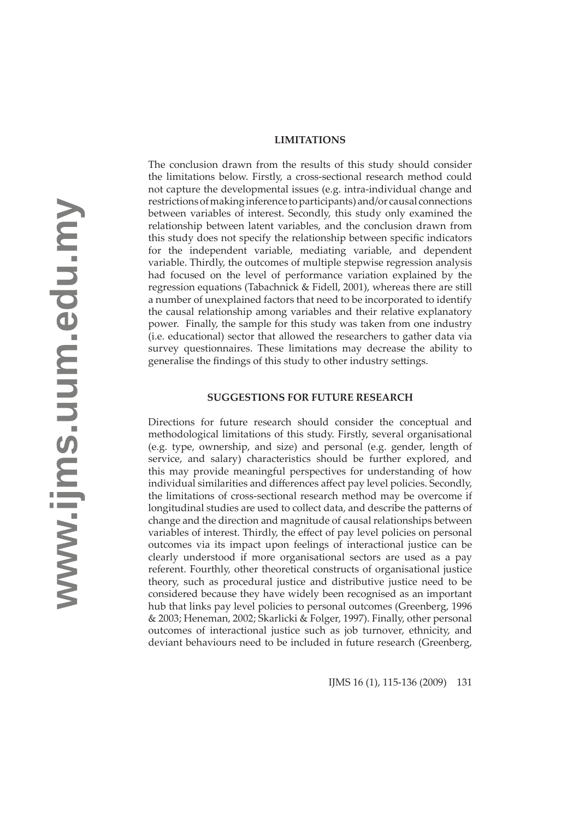#### **LIMITATIONS**

The conclusion drawn from the results of this study should consider the limitations below. Firstly, a cross-sectional research method could not capture the developmental issues (e.g. intra-individual change and restrictions of making inference to participants) and/or causal connections between variables of interest. Secondly, this study only examined the relationship between latent variables, and the conclusion drawn from this study does not specify the relationship between specific indicators for the independent variable, mediating variable, and dependent variable. Thirdly, the outcomes of multiple stepwise regression analysis had focused on the level of performance variation explained by the regression equations (Tabachnick & Fidell, 2001), whereas there are still a number of unexplained factors that need to be incorporated to identify the causal relationship among variables and their relative explanatory power. Finally, the sample for this study was taken from one industry (i.e. educational) sector that allowed the researchers to gather data via survey questionnaires. These limitations may decrease the ability to generalise the findings of this study to other industry settings.

#### **SUGGESTIONS FOR FUTURE RESEARCH**

Directions for future research should consider the conceptual and methodological limitations of this study. Firstly, several organisational (e.g. type, ownership, and size) and personal (e.g. gender, length of service, and salary) characteristics should be further explored, and this may provide meaningful perspectives for understanding of how individual similarities and differences affect pay level policies. Secondly, the limitations of cross-sectional research method may be overcome if longitudinal studies are used to collect data, and describe the patterns of change and the direction and magnitude of causal relationships between variables of interest. Thirdly, the effect of pay level policies on personal outcomes via its impact upon feelings of interactional justice can be clearly understood if more organisational sectors are used as a pay referent. Fourthly, other theoretical constructs of organisational justice theory, such as procedural justice and distributive justice need to be considered because they have widely been recognised as an important hub that links pay level policies to personal outcomes (Greenberg, 1996 & 2003; Heneman, 2002; Skarlicki & Folger, 1997). Finally, other personal outcomes of interactional justice such as job turnover, ethnicity, and deviant behaviours need to be included in future research (Greenberg,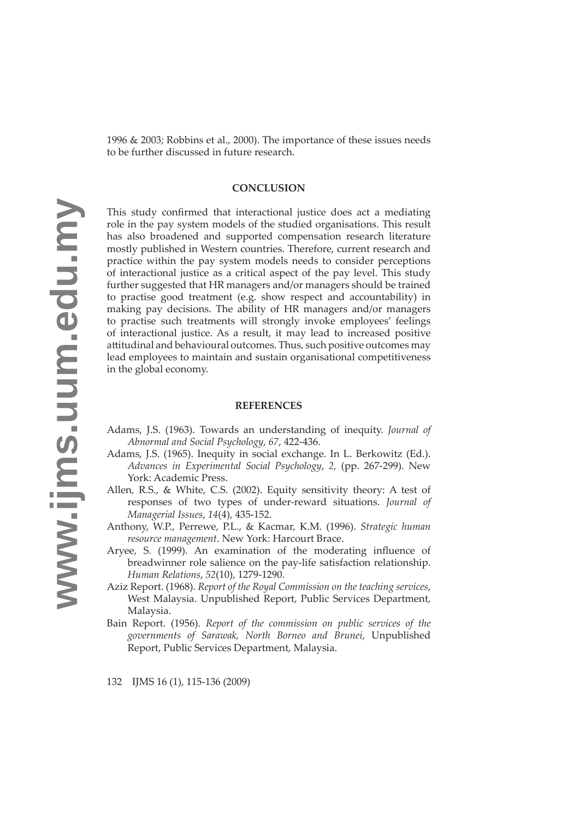1996 & 2003; Robbins et al., 2000). The importance of these issues needs to be further discussed in future research.

# **CONCLUSION**

This study confirmed that interactional justice does act a mediating role in the pay system models of the studied organisations. This result has also broadened and supported compensation research literature mostly published in Western countries. Therefore, current research and practice within the pay system models needs to consider perceptions of interactional justice as a critical aspect of the pay level. This study further suggested that HR managers and/or managers should be trained to practise good treatment (e.g. show respect and accountability) in making pay decisions. The ability of HR managers and/or managers to practise such treatments will strongly invoke employees' feelings of interactional justice. As a result, it may lead to increased positive attitudinal and behavioural outcomes. Thus, such positive outcomes may lead employees to maintain and sustain organisational competitiveness in the global economy.

### **REFERENCES**

- Adams, J.S. (1963). Towards an understanding of inequity. *Journal of Abnormal and Social Psychology*, *67*, 422-436.
- Adams, J.S. (1965). Inequity in social exchange. In L. Berkowitz (Ed.). *Advances in Experimental Social Psychology*, *2,* (pp. 267-299). New York: Academic Press.
- Allen, R.S., & White, C.S. (2002). Equity sensitivity theory: A test of responses of two types of under-reward situations. *Journal of Managerial Issues*, *14*(4), 435-152.
- Anthony, W.P., Perrewe, P.L., & Kacmar, K.M. (1996). *Strategic human resource management*. New York: Harcourt Brace.
- Aryee, S. (1999). An examination of the moderating influence of breadwinner role salience on the pay-life satisfaction relationship. *Human Relations*, *52*(10), 1279-1290.
- Aziz Report. (1968). *Report of the Royal Commission on the teaching services*, West Malaysia. Unpublished Report, Public Services Department, Malaysia.
- Bain Report. (1956). *Report of the commission on public services of the governments of Sarawak, North Borneo and Brunei*, Unpublished Report, Public Services Department, Malaysia.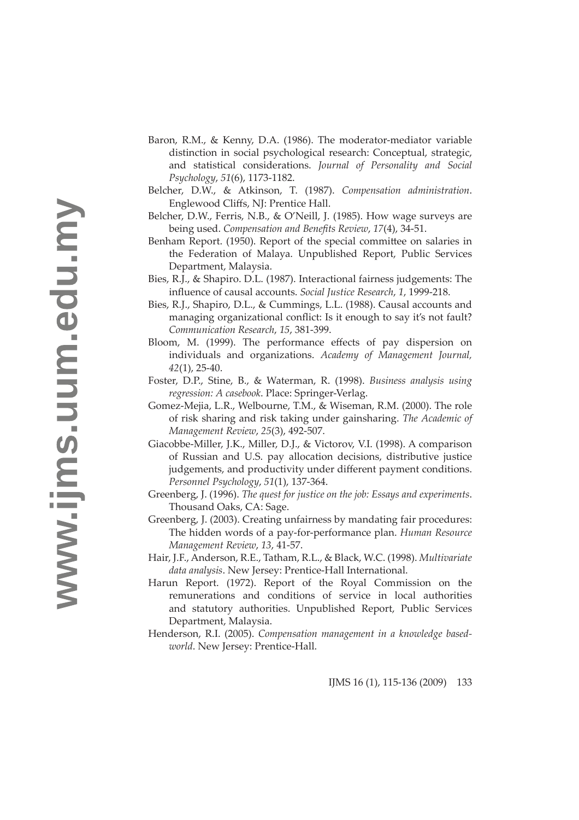- Baron, R.M., & Kenny, D.A. (1986). The moderator-mediator variable distinction in social psychological research: Conceptual, strategic, and statistical considerations. *Journal of Personality and Social Psychology*, *51*(6), 1173-1182.
- Belcher, D.W., & Atkinson, T. (1987). *Compensation administration*. Englewood Cliffs, NJ: Prentice Hall.
- Belcher, D.W., Ferris, N.B., & O'Neill, J. (1985). How wage surveys are being used. *Compensation and Benefits Review*, 17(4), 34-51.
- Benham Report. (1950). Report of the special committee on salaries in the Federation of Malaya. Unpublished Report, Public Services Department, Malaysia.
- Bies, R.J., & Shapiro. D.L. (1987). Interactional fairness judgements: The infl uence of causal accounts. *Social Justice Research*, *1*, 1999-218.
- Bies, R.J., Shapiro, D.L., & Cummings, L.L. (1988). Causal accounts and managing organizational conflict: Is it enough to say it's not fault? *Communication Research*, *15*, 381-399.
- Bloom, M. (1999). The performance effects of pay dispersion on individuals and organizations. *Academy of Management Journal, 42*(1), 25-40.
- Foster, D.P., Stine, B., & Waterman, R. (1998). *Business analysis using regression: A casebook*. Place: Springer-Verlag.
- Gomez-Mejia, L.R., Welbourne, T.M., & Wiseman, R.M. (2000). The role of risk sharing and risk taking under gainsharing. *The Academic of Management Review*, *25*(3), 492-507.
- Giacobbe-Miller, J.K., Miller, D.J., & Victorov, V.I. (1998). A comparison of Russian and U.S. pay allocation decisions, distributive justice judgements, and productivity under different payment conditions. *Personnel Psychology*, *51*(1), 137-364.
- Greenberg, J. (1996). *The quest for justice on the job: Essays and experiments*. Thousand Oaks, CA: Sage.
- Greenberg, J. (2003). Creating unfairness by mandating fair procedures: The hidden words of a pay-for-performance plan. *Human Resource Management Review*, *13*, 41-57.
- Hair, J.F., Anderson, R.E., Tatham, R.L., & Black, W.C. (1998). *Multivariate data analysis*. New Jersey: Prentice-Hall International.
- Harun Report. (1972). Report of the Royal Commission on the remunerations and conditions of service in local authorities and statutory authorities. Unpublished Report, Public Services Department, Malaysia.
- Henderson, R.I. (2005). *Compensation management in a knowledge basedworld*. New Jersey: Prentice-Hall.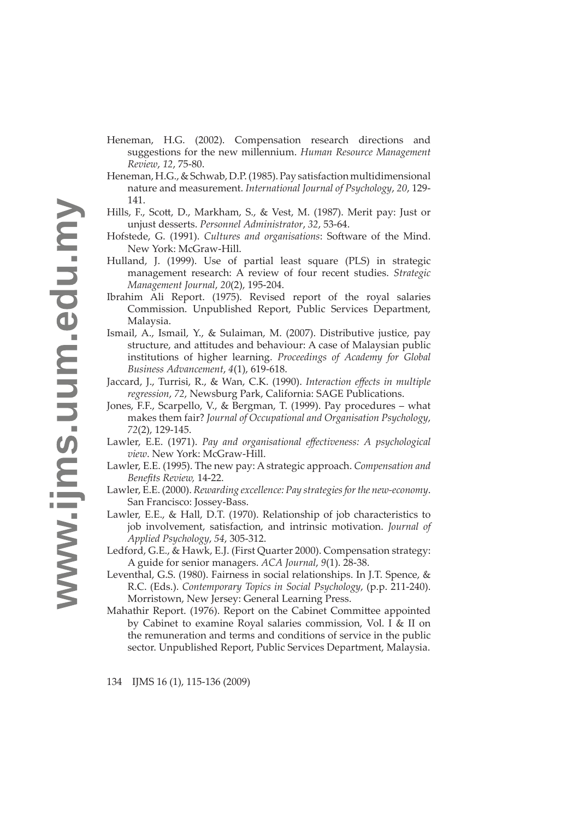- Heneman, H.G. (2002). Compensation research directions and suggestions for the new millennium. *Human Resource Management Review*, *12*, 75-80.
- Heneman, H.G., & Schwab, D.P. (1985). Pay satisfaction multidimensional nature and measurement. *International Journal of Psychology*, *20*, 129- 141.
- Hills, F., Scott, D., Markham, S., & Vest, M. (1987). Merit pay: Just or unjust desserts. *Personnel Administrator*, *32*, 53-64.
- Hofstede, G. (1991). *Cultures and organisations*: Software of the Mind. New York: McGraw-Hill.
- Hulland, J. (1999). Use of partial least square (PLS) in strategic management research: A review of four recent studies. *Strategic Management Journal*, *20*(2), 195-204.
- Ibrahim Ali Report. (1975). Revised report of the royal salaries Commission. Unpublished Report, Public Services Department, Malaysia.
- Ismail, A., Ismail, Y., & Sulaiman, M. (2007). Distributive justice, pay structure, and attitudes and behaviour: A case of Malaysian public institutions of higher learning. *Proceedings of Academy for Global Business Advancement*, *4*(1), 619-618.
- Jaccard, J., Turrisi, R., & Wan, C.K. (1990). *Interaction eff ects in multiple regression*, *72*, Newsburg Park, California: SAGE Publications.
- Jones, F.F., Scarpello, V., & Bergman, T. (1999). Pay procedures what makes them fair? *Journal of Occupational and Organisation Psychology*, *72*(2), 129-145.
- Lawler, E.E. (1971). *Pay and organisational effectiveness: A psychological view*. New York: McGraw-Hill.
- Lawler, E.E. (1995). The new pay: A strategic approach. *Compensation and Benefi ts Review,* 14-22.
- Lawler, E.E. (2000). *Rewarding excellence: Pay strategies for the new-economy*. San Francisco: Jossey-Bass.
- Lawler, E.E., & Hall, D.T. (1970). Relationship of job characteristics to job involvement, satisfaction, and intrinsic motivation. *Journal of Applied Psychology*, *54*, 305-312.
- Ledford, G.E., & Hawk, E.J. (First Quarter 2000). Compensation strategy: A guide for senior managers. *ACA Journal*, *9*(1). 28-38.
- Leventhal, G.S. (1980). Fairness in social relationships. In J.T. Spence, & R.C. (Eds.). *Contemporary Topics in Social Psychology*, (p.p. 211-240). Morristown, New Jersey: General Learning Press.
- Mahathir Report. (1976). Report on the Cabinet Committee appointed by Cabinet to examine Royal salaries commission, Vol. I & II on the remuneration and terms and conditions of service in the public sector. Unpublished Report, Public Services Department, Malaysia.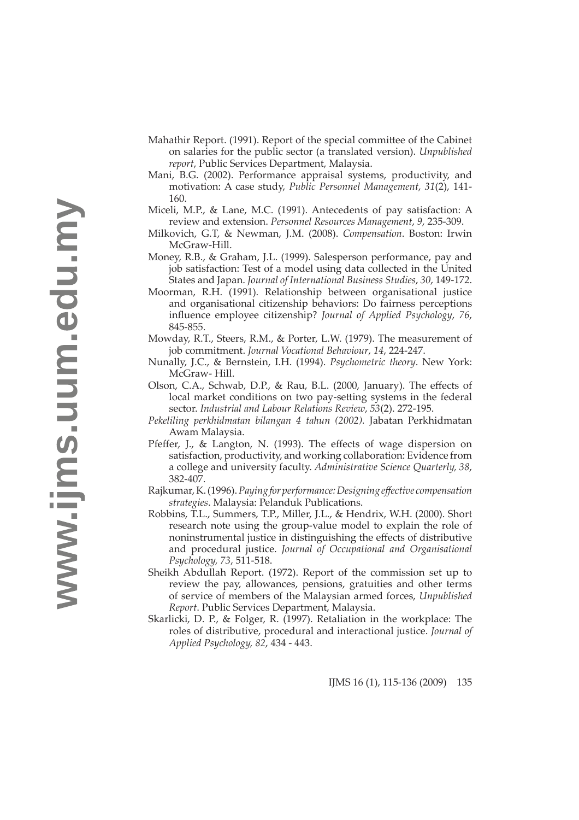- Mahathir Report. (1991). Report of the special committee of the Cabinet on salaries for the public sector (a translated version). *Unpublished report*, Public Services Department, Malaysia.
- Mani, B.G. (2002). Performance appraisal systems, productivity, and motivation: A case study, *Public Personnel Management*, *31*(2), 141- 160.
- Miceli, M.P., & Lane, M.C. (1991). Antecedents of pay satisfaction: A review and extension. *Personnel Resources Management*, *9*, 235-309.
- Milkovich, G.T, & Newman, J.M. (2008). *Compensation*. Boston: Irwin McGraw-Hill.
- Money, R.B., & Graham, J.L. (1999). Salesperson performance, pay and job satisfaction: Test of a model using data collected in the United States and Japan. *Journal of International Business Studies*, *30*, 149-172.
- Moorman, R.H. (1991). Relationship between organisational justice and organisational citizenship behaviors: Do fairness perceptions influence employee citizenship? *Journal of Applied Psychology*, 76, 845-855.
- Mowday, R.T., Steers, R.M., & Porter, L.W. (1979). The measurement of job commitment. *Journal Vocational Behaviour*, *14*, 224-247.
- Nunally, J.C., & Bernstein, I.H. (1994). *Psychometric theory*. New York: McGraw- Hill.
- Olson, C.A., Schwab, D.P., & Rau, B.L. (2000, January). The effects of local market conditions on two pay-setting systems in the federal sector. *Industrial and Labour Relations Review*, *53*(2). 272-195.
- *Pekeliling perkhidmatan bilangan 4 tahun (2002).* Jabatan Perkhidmatan Awam Malaysia.
- Pfeffer, J., & Langton, N. (1993). The effects of wage dispersion on satisfaction, productivity, and working collaboration: Evidence from a college and university faculty. *Administrative Science Quarterly, 38*, 382-407.
- Rajkumar, K. (1996). *Paying for performance: Designing eff ective compensation strategies*. Malaysia: Pelanduk Publications.
- Robbins, T.L., Summers, T.P., Miller, J.L., & Hendrix, W.H. (2000). Short research note using the group-value model to explain the role of noninstrumental justice in distinguishing the effects of distributive and procedural justice. *Journal of Occupational and Organisational Psychology, 73*, 511-518.
- Sheikh Abdullah Report. (1972). Report of the commission set up to review the pay, allowances, pensions, gratuities and other terms of service of members of the Malaysian armed forces, *Unpublished Report*. Public Services Department, Malaysia.
- Skarlicki, D. P., & Folger, R. (1997). Retaliation in the workplace: The roles of distributive, procedural and interactional justice. *Journal of Applied Psychology, 82*, 434 - 443.